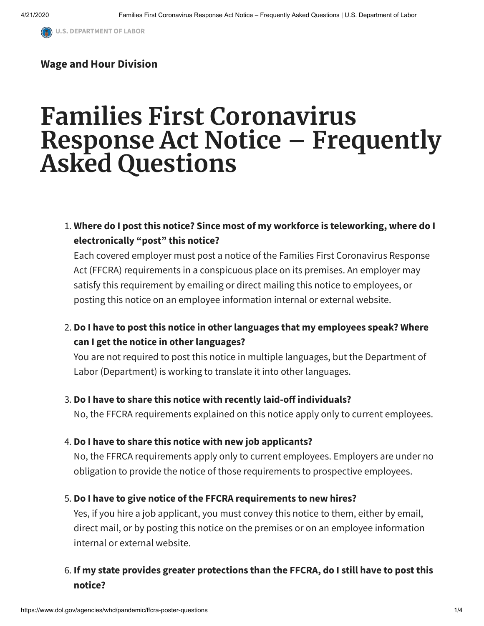#### **Wage and Hour [Division](https://www.dol.gov/agencies/whd)**

# **Families First Coronavirus Response Act Notice – Frequently Asked Questions**

## 1. **Where do I post this notice? Since most of my workforce is teleworking, where do I electronically "post" this notice?**

Each covered employer must post a notice of the Families First Coronavirus Response Act (FFCRA) requirements in a conspicuous place on its premises. An employer may satisfy this requirement by emailing or direct mailing this notice to employees, or posting this notice on an employee information internal or external website.

## 2. **Do I have to post this notice in other languages that my employees speak? Where can I get the notice in other languages?**

You are not required to post this notice in multiple languages, but the Department of Labor (Department) is working to translate it into other languages.

#### 3. **Do I have to share this notice with recently laid-o individuals?**

No, the FFCRA requirements explained on this notice apply only to current employees.

#### 4. **Do I have to share this notice with new job applicants?**

No, the FFRCA requirements apply only to current employees. Employers are under no obligation to provide the notice of those requirements to prospective employees.

#### 5. **Do I have to give notice of the FFCRA requirements to new hires?**

Yes, if you hire a job applicant, you must convey this notice to them, either by email, direct mail, or by posting this notice on the premises or on an employee information internal or external website.

## 6. **If my state provides greater protections than the FFCRA, do I still have to post this notice?**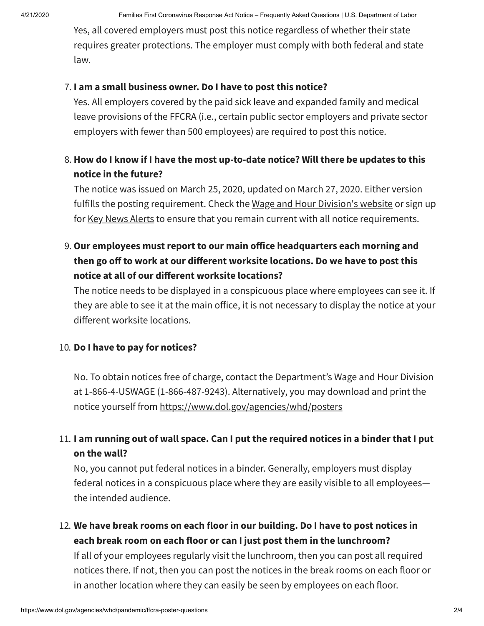Yes, all covered employers must post this notice regardless of whether their state requires greater protections. The employer must comply with both federal and state law.

#### 7. **I am a small business owner. Do I have to post this notice?**

Yes. All employers covered by the paid sick leave and expanded family and medical leave provisions of the FFCRA (i.e., certain public sector employers and private sector employers with fewer than 500 employees) are required to post this notice.

## 8. **How do I know if I have the most up-to-date notice? Will there be updates to this notice in the future?**

The notice was issued on March 25, 2020, updated on March 27, 2020. Either version fulfills the posting requirement. Check the Wage and Hour [Division's](https://www.dol.gov/agencies/whd) website or sign up for Key News [Alerts](https://www.dol.gov/general/email) to ensure that you remain current with all notice requirements.

## 9. **Our employees must report to our main oice headquarters each morning and then go o to work at our dierent worksite locations. Do we have to post this notice at all of our dierent worksite locations?**

The notice needs to be displayed in a conspicuous place where employees can see it. If they are able to see it at the main office, it is not necessary to display the notice at your different worksite locations.

#### 10. **Do I have to pay for notices?**

No. To obtain notices free of charge, contact the Department's Wage and Hour Division at 1-866-4-USWAGE (1-866-487-9243). Alternatively, you may download and print the notice yourself from <https://www.dol.gov/agencies/whd/posters>

## 11. **I am running out of wall space. Can I put the required notices in a binder that I put on the wall?**

No, you cannot put federal notices in a binder. Generally, employers must display federal notices in a conspicuous place where they are easily visible to all employees the intended audience.

12. **We have break rooms on each floor in our building. Do I have to post notices in each break room on each floor or can I just post them in the lunchroom?** If all of your employees regularly visit the lunchroom, then you can post all required

notices there. If not, then you can post the notices in the break rooms on each floor or in another location where they can easily be seen by employees on each floor.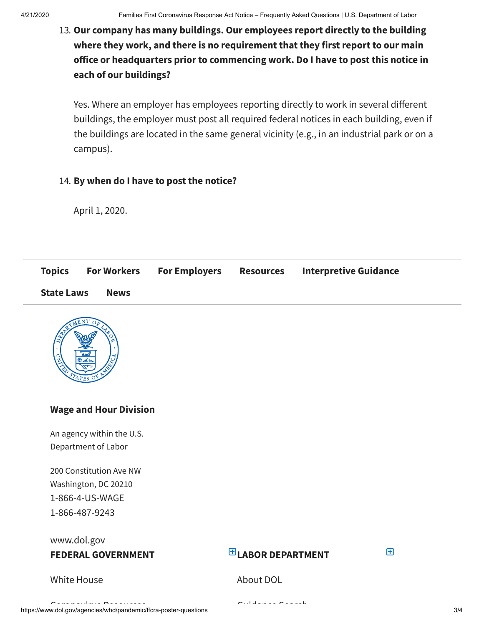## 13. **Our company has many buildings. Our employees report directly to the building where they work, and there is no requirement that they first report to our main oice or headquarters prior to commencing work. Do I have to post this notice in each of our buildings?**

Yes. Where an employer has employees reporting directly to work in several different buildings, the employer must post all required federal notices in each building, even if the buildings are located in the same general vicinity (e.g., in an industrial park or on a campus).

#### 14. **By when do I have to post the notice?**

April 1, 2020.

| <b>Topics</b>     | <b>For Workers</b> | <b>For Employers</b> | <b>Resources</b> | <b>Interpretive Guidance</b> |
|-------------------|--------------------|----------------------|------------------|------------------------------|
| <b>State Laws</b> | <b>News</b>        |                      |                  |                              |



### **Wage and Hour Division**

An agency within the U.S. Department of Labor

200 Constitution Ave NW Washington, DC 20210 [1-866-4-US-WAGE](tel:1-866-487-9243) [1-866-487-9243](tel:1-866-487-9243)

### [www.dol.gov](https://www.dol.gov/) **FEDERAL GOVERNMENT**

## **LABOR DEPARTMENT**

 $\mathbf{F}$ 

#### White [House](https://www.whitehouse.gov/)

[About](https://www.dol.gov/general/aboutdol) DOL